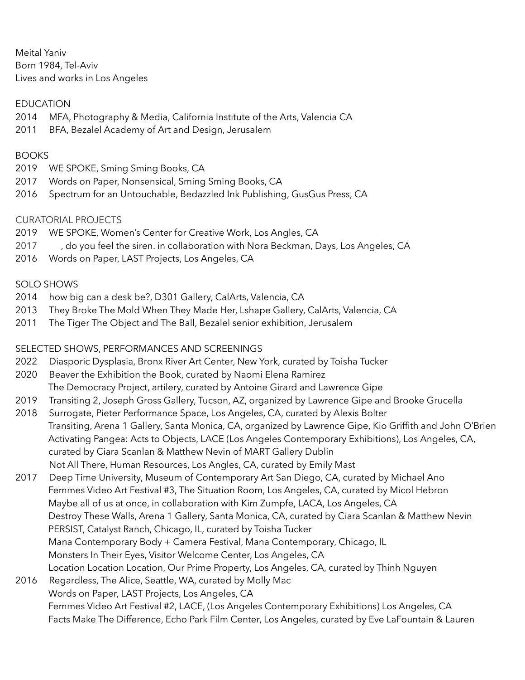Meital Yaniv Born 1984, Tel-Aviv Lives and works in Los Angeles

### EDUCATION

- 2014 MFA, Photography & Media, California Institute of the Arts, Valencia CA
- 2011 BFA, Bezalel Academy of Art and Design, Jerusalem

#### BOOKS

- 2019 WE SPOKE, Sming Sming Books, CA
- 2017 Words on Paper, Nonsensical, Sming Sming Books, CA
- 2016 Spectrum for an Untouchable, Bedazzled Ink Publishing, GusGus Press, CA

### CURATORIAL PROJECTS

- 2019 WE SPOKE, Women's Center for Creative Work, Los Angles, CA
- 2017 , do you feel the siren. in collaboration with Nora Beckman, Days, Los Angeles, CA
- 2016 Words on Paper, LAST Projects, Los Angeles, CA

### SOLO SHOWS

- 2014 how big can a desk be?, D301 Gallery, CalArts, Valencia, CA
- 2013 They Broke The Mold When They Made Her, Lshape Gallery, CalArts, Valencia, CA
- 2011 The Tiger The Object and The Ball, Bezalel senior exhibition, Jerusalem

## SELECTED SHOWS, PERFORMANCES AND SCREENINGS

- 2022 Diasporic Dysplasia, Bronx River Art Center, New York, curated by Toisha Tucker
- 2020 Beaver the Exhibition the Book, curated by Naomi Elena Ramirez The Democracy Project, artilery, curated by Antoine Girard and Lawrence Gipe
- 2019 Transiting 2, Joseph Gross Gallery, Tucson, AZ, organized by Lawrence Gipe and Brooke Grucella
- 2018 Surrogate, Pieter Performance Space, Los Angeles, CA, curated by Alexis Bolter Transiting, Arena 1 Gallery, Santa Monica, CA, organized by Lawrence Gipe, Kio Griffith and John O'Brien Activating Pangea: Acts to Objects, LACE (Los Angeles Contemporary Exhibitions), Los Angeles, CA, curated by Ciara Scanlan & Matthew Nevin of MART Gallery Dublin Not All There, Human Resources, Los Angles, CA, curated by Emily Mast
- 2017 Deep Time University, Museum of Contemporary Art San Diego, CA, curated by Michael Ano Femmes Video Art Festival #3, The Situation Room, Los Angeles, CA, curated by Micol Hebron Maybe all of us at once, in collaboration with Kim Zumpfe, LACA, Los Angeles, CA Destroy These Walls, Arena 1 Gallery, Santa Monica, CA, curated by Ciara Scanlan & Matthew Nevin PERSIST, Catalyst Ranch, Chicago, IL, curated by Toisha Tucker Mana Contemporary Body + Camera Festival, Mana Contemporary, Chicago, IL Monsters In Their Eyes, Visitor Welcome Center, Los Angeles, CA Location Location Location, Our Prime Property, Los Angeles, CA, curated by Thinh Nguyen 2016 Regardless, The Alice, Seattle, WA, curated by Molly Mac Words on Paper, LAST Projects, Los Angeles, CA

 Femmes Video Art Festival #2, LACE, (Los Angeles Contemporary Exhibitions) Los Angeles, CA Facts Make The Difference, Echo Park Film Center, Los Angeles, curated by Eve LaFountain & Lauren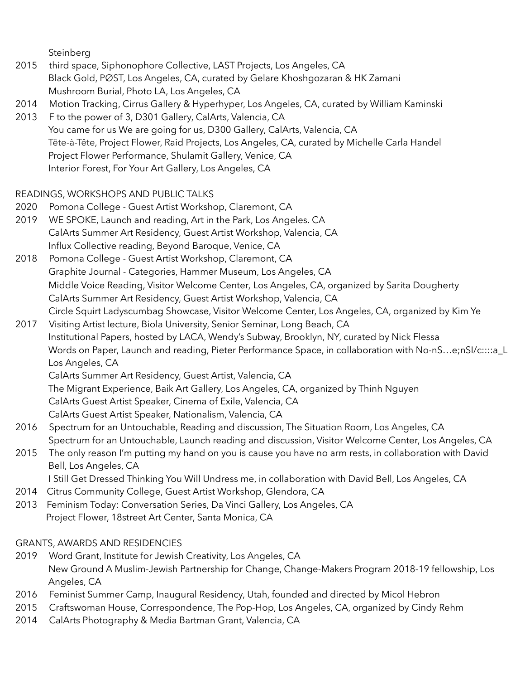Steinberg

- 2015 third space, Siphonophore Collective, LAST Projects, Los Angeles, CA Black Gold, PØST, Los Angeles, CA, curated by Gelare Khoshgozaran & HK Zamani Mushroom Burial, Photo LA, Los Angeles, CA
- 2014 Motion Tracking, Cirrus Gallery & Hyperhyper, Los Angeles, CA, curated by William Kaminski
- 2013 F to the power of 3, D301 Gallery, CalArts, Valencia, CA You came for us We are going for us, D300 Gallery, CalArts, Valencia, CA Tête-à-Tête, Project Flower, Raid Projects, Los Angeles, CA, curated by Michelle Carla Handel Project Flower Performance, Shulamit Gallery, Venice, CA Interior Forest, For Your Art Gallery, Los Angeles, CA

## READINGS, WORKSHOPS AND PUBLIC TALKS

- 2020 Pomona College Guest Artist Workshop, Claremont, CA
- 2019 WE SPOKE, Launch and reading, Art in the Park, Los Angeles. CA CalArts Summer Art Residency, Guest Artist Workshop, Valencia, CA Influx Collective reading, Beyond Baroque, Venice, CA
- 2018 Pomona College Guest Artist Workshop, Claremont, CA Graphite Journal - Categories, Hammer Museum, Los Angeles, CA Middle Voice Reading, Visitor Welcome Center, Los Angeles, CA, organized by Sarita Dougherty CalArts Summer Art Residency, Guest Artist Workshop, Valencia, CA Circle Squirt Ladyscumbag Showcase, Visitor Welcome Center, Los Angeles, CA, organized by Kim Ye
- 2017 Visiting Artist lecture, Biola University, Senior Seminar, Long Beach, CA Institutional Papers, hosted by LACA, Wendy's Subway, Brooklyn, NY, curated by Nick Flessa Words on Paper, Launch and reading, Pieter Performance Space, in collaboration with No-nS…e;nSI/c::::a\_L Los Angeles, CA

CalArts Summer Art Residency, Guest Artist, Valencia, CA

The Migrant Experience, Baik Art Gallery, Los Angeles, CA, organized by Thinh Nguyen

CalArts Guest Artist Speaker, Cinema of Exile, Valencia, CA

CalArts Guest Artist Speaker, Nationalism, Valencia, CA

- 2016 Spectrum for an Untouchable, Reading and discussion, The Situation Room, Los Angeles, CA Spectrum for an Untouchable, Launch reading and discussion, Visitor Welcome Center, Los Angeles, CA
- 2015 The only reason I'm putting my hand on you is cause you have no arm rests, in collaboration with David Bell, Los Angeles, CA
- I Still Get Dressed Thinking You Will Undress me, in collaboration with David Bell, Los Angeles, CA
- 2014 Citrus Community College, Guest Artist Workshop, Glendora, CA
- 2013 Feminism Today: Conversation Series, Da Vinci Gallery, Los Angeles, CA Project Flower, 18street Art Center, Santa Monica, CA

## GRANTS, AWARDS AND RESIDENCIES

- 2019 Word Grant, Institute for Jewish Creativity, Los Angeles, CA New Ground A Muslim-Jewish Partnership for Change, Change-Makers Program 2018-19 fellowship, Los Angeles, CA
- 2016 Feminist Summer Camp, Inaugural Residency, Utah, founded and directed by Micol Hebron
- 2015 Craftswoman House, Correspondence, The Pop-Hop, Los Angeles, CA, organized by Cindy Rehm
- 2014 CalArts Photography & Media Bartman Grant, Valencia, CA